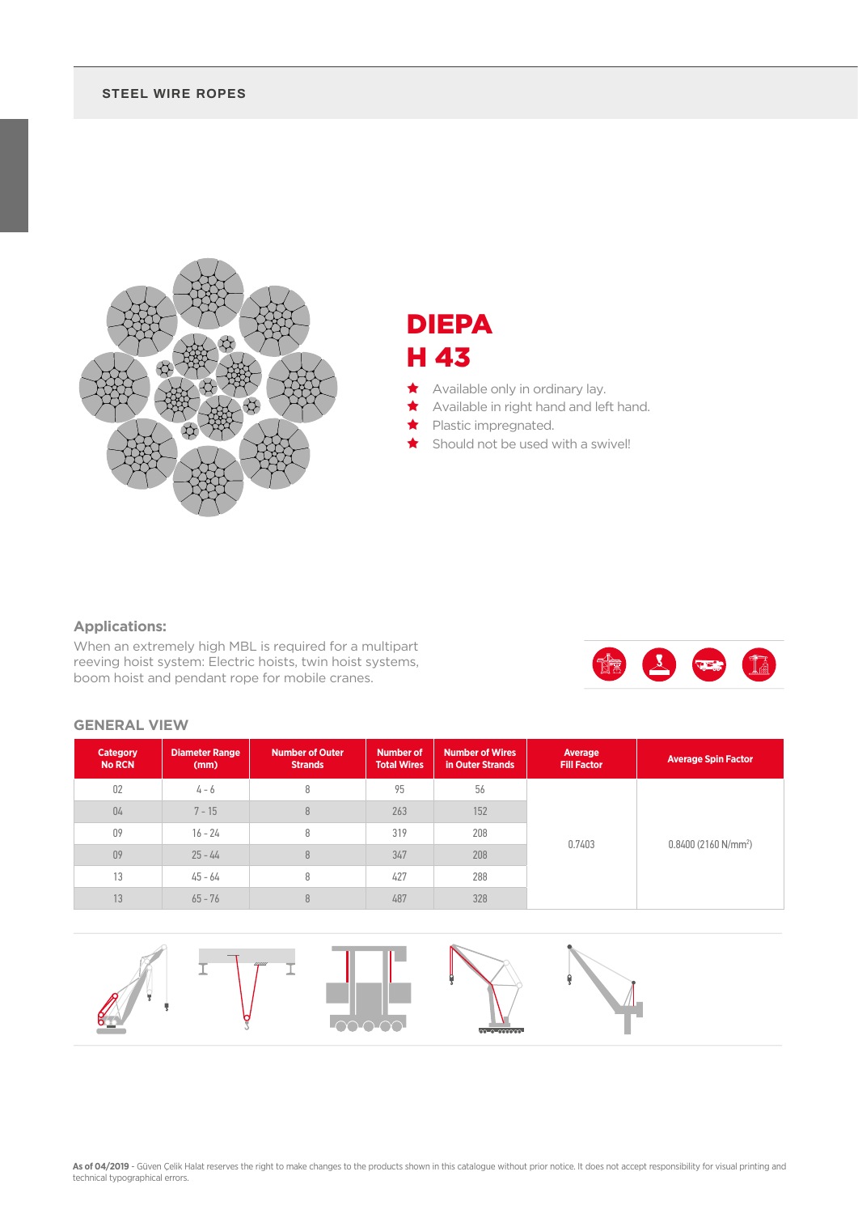#### **STEEL WIRE ROPES**



## DIEPA H 43

- Available only in ordinary lay.
- Available in right hand and left hand.
- Plastic impregnated.
- Should not be used with a swivel!

### **Applications:**

When an extremely high MBL is required for a multipart reeving hoist system: Electric hoists, twin hoist systems, boom hoist and pendant rope for mobile cranes.



#### **GENERAL VIEW**

| Category<br><b>No RCN</b> | <b>Diameter Range</b><br>(mm) | <b>Number of Outer</b><br><b>Strands</b> | <b>Number of</b><br><b>Total Wires</b> | <b>Number of Wires</b><br>in Outer Strands | Average<br><b>Fill Factor</b> | <b>Average Spin Factor</b> |
|---------------------------|-------------------------------|------------------------------------------|----------------------------------------|--------------------------------------------|-------------------------------|----------------------------|
| 02                        | 4 - 6                         | 8                                        | 95                                     | 56                                         |                               |                            |
| 04                        | $7 - 15$                      | 8                                        | 263                                    | 152                                        |                               |                            |
| 09                        | $16 - 24$                     | 8                                        | 319                                    | 208                                        | 0.7403                        | $0.8400(2160 N/mm^2)$      |
| 09                        | $25 - 44$                     | 8                                        | 347                                    | 208                                        |                               |                            |
| 13                        | $45 - 64$                     | 8                                        | 427<br>288                             |                                            |                               |                            |
| 13                        | $65 - 76$                     | 8                                        | 487                                    | 328                                        |                               |                            |

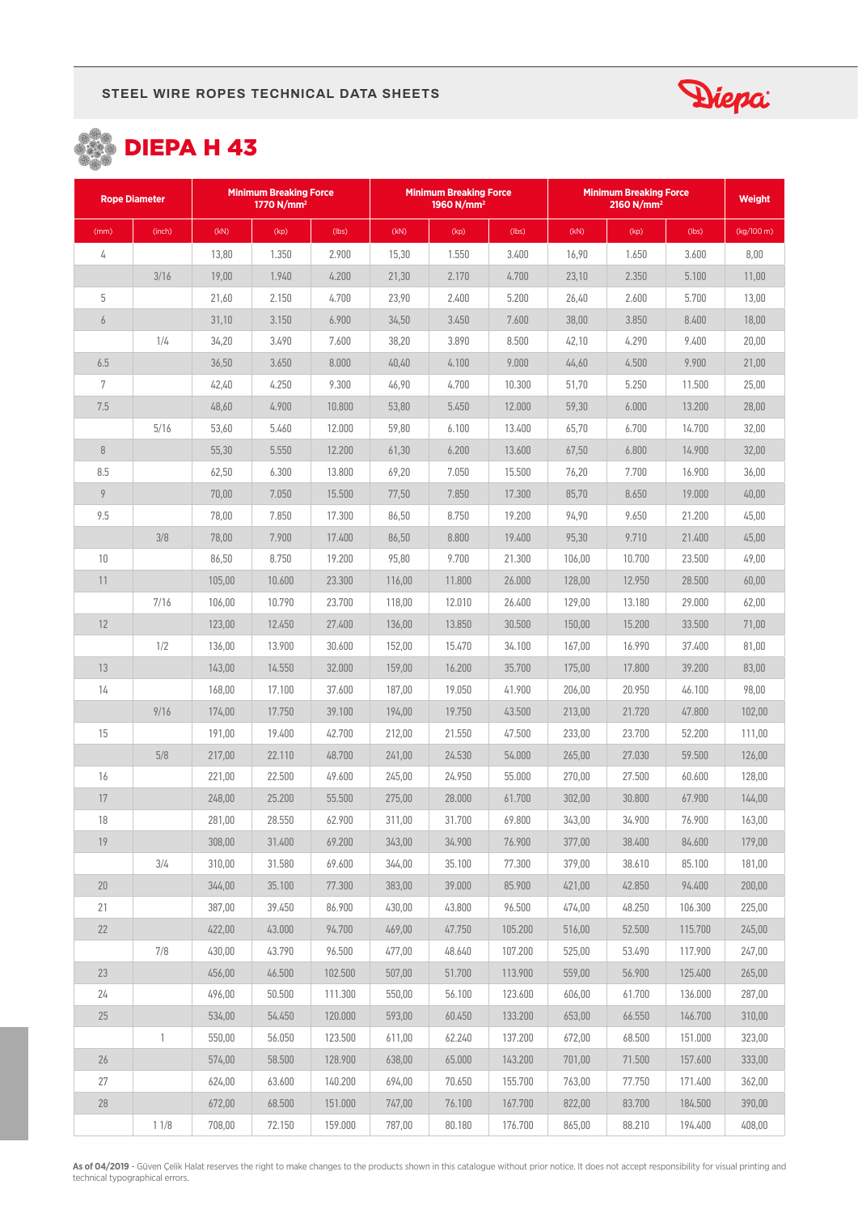





| <b>Rope Diameter</b> |              | <b>Minimum Breaking Force</b><br>1770 N/mm <sup>2</sup> |        |         | <b>Minimum Breaking Force</b><br>1960 N/mm <sup>2</sup> |        |         | <b>Minimum Breaking Force</b> | <b>Weight</b> |         |            |
|----------------------|--------------|---------------------------------------------------------|--------|---------|---------------------------------------------------------|--------|---------|-------------------------------|---------------|---------|------------|
| (mm)                 | (inch)       | (kN)                                                    | (kp)   | (lbs)   | (kN)                                                    | (kp)   | (lbs)   | (KN)                          | (kp)          | (lbs)   | (kg/100 m) |
| 4                    |              | 13,80                                                   | 1.350  | 2.900   | 15,30                                                   | 1.550  | 3.400   | 16,90                         | 1.650         | 3.600   | 8,00       |
|                      | 3/16         | 19,00                                                   | 1.940  | 4.200   | 21,30                                                   | 2.170  | 4.700   | 23,10                         | 2.350         | 5.100   | 11,00      |
| 5                    |              | 21,60                                                   | 2.150  | 4.700   | 23,90                                                   | 2.400  | 5.200   | 26,40                         | 2.600         | 5.700   | 13,00      |
| $\boldsymbol{6}$     |              | 31,10                                                   | 3.150  | 6.900   | 34,50                                                   | 3.450  | 7.600   | 38,00                         | 3.850         | 8.400   | 18,00      |
|                      | 1/4          | 34,20                                                   | 3.490  | 7.600   | 38,20                                                   | 3.890  | 8.500   | 42,10                         | 4.290         | 9.400   | 20,00      |
| 6.5                  |              | 36,50                                                   | 3.650  | 8.000   | 40,40                                                   | 4.100  | 9.000   | 44,60                         | 4.500         | 9.900   | 21,00      |
| 7                    |              | 42,40                                                   | 4.250  | 9.300   | 46,90                                                   | 4.700  | 10.300  | 51,70                         | 5.250         | 11.500  | 25,00      |
| 7.5                  |              | 48,60                                                   | 4.900  | 10.800  | 53,80                                                   | 5.450  | 12.000  | 59,30                         | 6.000         | 13.200  | 28,00      |
|                      | 5/16         | 53,60                                                   | 5.460  | 12.000  | 59,80                                                   | 6.100  | 13.400  | 65,70                         | 6.700         | 14.700  | 32,00      |
| $\, 8$               |              | 55,30                                                   | 5.550  | 12.200  | 61,30                                                   | 6.200  | 13.600  | 67,50                         | 6.800         | 14.900  | 32,00      |
| 8.5                  |              | 62,50                                                   | 6.300  | 13.800  | 69,20                                                   | 7.050  | 15.500  | 76,20                         | 7.700         | 16.900  | 36,00      |
| 9                    |              | 70,00                                                   | 7.050  | 15.500  | 77,50                                                   | 7.850  | 17.300  | 85,70                         | 8.650         | 19.000  | 40,00      |
| 9.5                  |              | 78,00                                                   | 7.850  | 17.300  | 86,50                                                   | 8.750  | 19.200  | 94,90                         | 9.650         | 21.200  | 45,00      |
|                      | 3/8          | 78,00                                                   | 7.900  | 17.400  | 86,50                                                   | 8.800  | 19.400  | 95,30                         | 9.710         | 21.400  | 45,00      |
| 10                   |              | 86,50                                                   | 8.750  | 19.200  | 95,80                                                   | 9.700  | 21.300  | 106,00                        | 10.700        | 23.500  | 49,00      |
| 11                   |              | 105,00                                                  | 10.600 | 23.300  | 116,00                                                  | 11.800 | 26.000  | 128,00                        | 12.950        | 28.500  | 60,00      |
|                      | 7/16         | 106,00                                                  | 10.790 | 23.700  | 118,00                                                  | 12.010 | 26.400  | 129,00                        | 13.180        | 29.000  | 62,00      |
| 12                   |              | 123,00                                                  | 12.450 | 27.400  | 136,00                                                  | 13.850 | 30.500  | 150,00                        | 15.200        | 33.500  | 71,00      |
|                      | 1/2          | 136,00                                                  | 13.900 | 30.600  | 152,00                                                  | 15.470 | 34.100  | 167,00                        | 16.990        | 37.400  | 81,00      |
| 13                   |              | 143,00                                                  | 14.550 | 32.000  | 159,00                                                  | 16.200 | 35.700  | 175,00                        | 17.800        | 39.200  | 83,00      |
| 14                   |              | 168,00                                                  | 17.100 | 37.600  | 187,00                                                  | 19.050 | 41.900  | 206,00                        | 20.950        | 46.100  | 98,00      |
|                      | 9/16         | 174,00                                                  | 17.750 | 39.100  | 194,00                                                  | 19.750 | 43.500  | 213,00                        | 21.720        | 47.800  | 102,00     |
| 15                   |              | 191,00                                                  | 19.400 | 42.700  | 212,00                                                  | 21.550 | 47.500  | 233,00                        | 23.700        | 52.200  | 111,00     |
|                      | 5/8          | 217,00                                                  | 22.110 | 48.700  | 241,00                                                  | 24.530 | 54.000  | 265,00                        | 27.030        | 59.500  | 126,00     |
| 16                   |              | 221,00                                                  | 22.500 | 49.600  | 245,00                                                  | 24.950 | 55.000  | 270.00                        | 27.500        | 60.600  | 128,00     |
| 17                   |              | 248,00                                                  | 25.200 | 55.500  | 275,00                                                  | 28.000 | 61.700  | 302,00                        | 30.800        | 67.900  | 144,00     |
| 18                   |              | 281,00                                                  | 28.550 | 62.900  | 311,00                                                  | 31.700 | 69.800  | 343,00                        | 34.900        | 76.900  | 163,00     |
| 19                   |              | 308,00                                                  | 31.400 | 69.200  | 343,00                                                  | 34.900 | 76.900  | 377,00                        | 38.400        | 84.600  | 179,00     |
|                      | 3/4          | 310,00                                                  | 31.580 | 69.600  | 344,00                                                  | 35.100 | 77.300  | 379,00                        | 38.610        | 85.100  | 181,00     |
| 20                   |              | 344,00                                                  | 35.100 | 77.300  | 383,00                                                  | 39.000 | 85.900  | 421,00                        | 42.850        | 94.400  | 200,00     |
| 21                   |              | 387,00                                                  | 39.450 | 86.900  | 430,00                                                  | 43.800 | 96.500  | 474,00                        | 48.250        | 106.300 | 225,00     |
| 22                   |              | 422,00                                                  | 43.000 | 94.700  | 469,00                                                  | 47.750 | 105.200 | 516,00                        | 52.500        | 115.700 | 245,00     |
|                      | 7/8          | 430,00                                                  | 43.790 | 96.500  | 477,00                                                  | 48.640 | 107.200 | 525,00                        | 53.490        | 117.900 | 247,00     |
| 23                   |              | 456,00                                                  | 46.500 | 102.500 | 507,00                                                  | 51.700 | 113.900 | 559,00                        | 56.900        | 125.400 | 265,00     |
| 24                   |              | 496,00                                                  | 50.500 | 111.300 | 550,00                                                  | 56.100 | 123.600 | 606,00                        | 61.700        | 136.000 | 287,00     |
| 25                   |              | 534,00                                                  | 54.450 | 120.000 | 593,00                                                  | 60.450 | 133.200 | 653,00                        | 66.550        | 146.700 | 310,00     |
|                      | $\mathbb{1}$ | 550,00                                                  | 56.050 | 123.500 | 611,00                                                  | 62.240 | 137.200 | 672,00                        | 68.500        | 151.000 | 323,00     |
| 26                   |              | 574,00                                                  | 58.500 | 128.900 | 638,00                                                  | 65.000 | 143.200 | 701,00                        | 71.500        | 157.600 | 333,00     |
| 27                   |              | 624,00                                                  | 63.600 | 140.200 | 694,00                                                  | 70.650 | 155.700 | 763,00                        | 77.750        | 171.400 | 362,00     |
| $28\,$               |              | 672,00                                                  | 68.500 | 151.000 | 747,00                                                  | 76.100 | 167.700 | 822,00                        | 83.700        | 184.500 | 390,00     |
|                      | 11/8         | 708,00                                                  | 72.150 | 159.000 | 787,00                                                  | 80.180 | 176.700 | 865,00                        | 88.210        | 194.400 | 408,00     |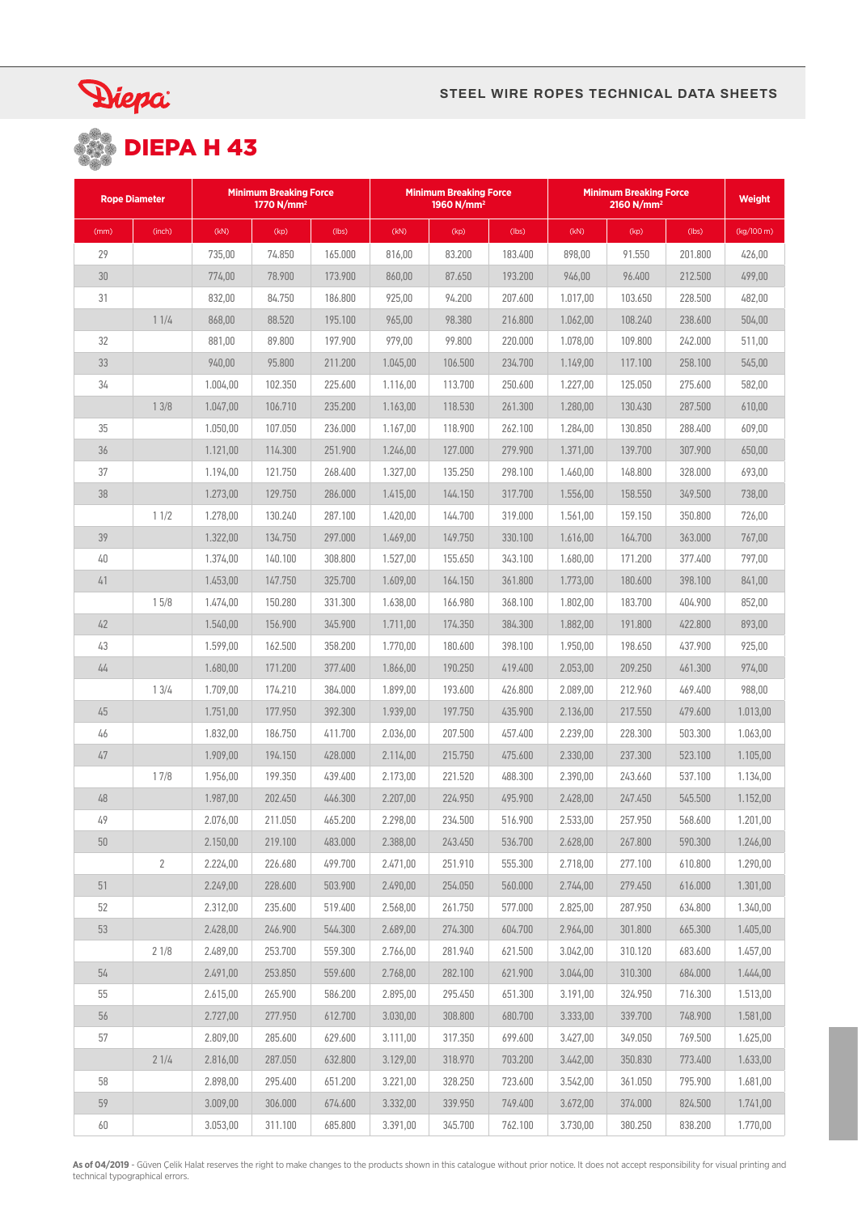

# Diepa:<br> **DIEPA H 43**

| <b>Rope Diameter</b> |                | <b>Minimum Breaking Force</b><br>1770 N/mm <sup>2</sup> |         |         | <b>Minimum Breaking Force</b><br>1960 N/mm <sup>2</sup> |         |         | <b>Minimum Breaking Force</b> | <b>Weight</b> |         |            |
|----------------------|----------------|---------------------------------------------------------|---------|---------|---------------------------------------------------------|---------|---------|-------------------------------|---------------|---------|------------|
| (mm)                 | (inch)         | (kN)                                                    | (kp)    | (lbs)   | (kN)                                                    | (kp)    | (lbs)   | (kN)                          | (kp)          | (lbs)   | (kg/100 m) |
| 29                   |                | 735,00                                                  | 74.850  | 165.000 | 816,00                                                  | 83.200  | 183.400 | 898,00                        | 91.550        | 201.800 | 426,00     |
| 30                   |                | 774,00                                                  | 78,900  | 173.900 | 860,00                                                  | 87.650  | 193.200 | 946,00                        | 96.400        | 212.500 | 499,00     |
| 31                   |                | 832,00                                                  | 84.750  | 186.800 | 925,00                                                  | 94.200  | 207.600 | 1.017,00                      | 103.650       | 228.500 | 482,00     |
|                      | 11/4           | 868,00                                                  | 88.520  | 195.100 | 965,00                                                  | 98.380  | 216.800 | 1.062,00                      | 108.240       | 238.600 | 504,00     |
| 32                   |                | 881,00                                                  | 89.800  | 197.900 | 979,00                                                  | 99.800  | 220,000 | 1.078,00                      | 109.800       | 242.000 | 511,00     |
| 33                   |                | 940,00                                                  | 95.800  | 211.200 | 1.045,00                                                | 106.500 | 234.700 | 1.149,00                      | 117.100       | 258.100 | 545,00     |
| 34                   |                | 1.004,00                                                | 102.350 | 225.600 | 1.116,00                                                | 113.700 | 250.600 | 1.227,00                      | 125.050       | 275.600 | 582,00     |
|                      | 13/8           | 1.047,00                                                | 106.710 | 235.200 | 1.163,00                                                | 118.530 | 261.300 | 1.280,00                      | 130.430       | 287.500 | 610,00     |
| 35                   |                | 1.050,00                                                | 107.050 | 236.000 | 1.167,00                                                | 118.900 | 262.100 | 1.284,00                      | 130.850       | 288.400 | 609,00     |
| 36                   |                | 1.121,00                                                | 114.300 | 251.900 | 1.246,00                                                | 127.000 | 279.900 | 1.371,00                      | 139.700       | 307.900 | 650,00     |
| 37                   |                | 1.194,00                                                | 121.750 | 268.400 | 1.327,00                                                | 135.250 | 298.100 | 1.460,00                      | 148.800       | 328,000 | 693,00     |
| 38                   |                | 1.273,00                                                | 129.750 | 286.000 | 1.415,00                                                | 144.150 | 317.700 | 1.556,00                      | 158,550       | 349.500 | 738.00     |
|                      | 11/2           | 1.278,00                                                | 130.240 | 287.100 | 1.420,00                                                | 144.700 | 319.000 | 1.561,00                      | 159.150       | 350.800 | 726.00     |
| 39                   |                | 1.322,00                                                | 134.750 | 297.000 | 1.469,00                                                | 149.750 | 330.100 | 1.616,00                      | 164.700       | 363.000 | 767,00     |
| 40                   |                | 1.374,00                                                | 140.100 | 308.800 | 1.527,00                                                | 155.650 | 343.100 | 1.680,00                      | 171.200       | 377.400 | 797,00     |
| 41                   |                | 1.453,00                                                | 147.750 | 325.700 | 1.609,00                                                | 164.150 | 361.800 | 1.773,00                      | 180.600       | 398.100 | 841,00     |
|                      | 15/8           | 1.474,00                                                | 150.280 | 331.300 | 1.638,00                                                | 166.980 | 368.100 | 1.802,00                      | 183.700       | 404.900 | 852,00     |
| 42                   |                | 1.540,00                                                | 156.900 | 345.900 | 1.711,00                                                | 174.350 | 384.300 | 1.882,00                      | 191.800       | 422.800 | 893,00     |
| 43                   |                | 1.599,00                                                | 162.500 | 358.200 | 1.770,00                                                | 180.600 | 398.100 | 1.950,00                      | 198.650       | 437.900 | 925,00     |
| 44                   |                | 1.680,00                                                | 171.200 | 377.400 | 1.866,00                                                | 190.250 | 419.400 | 2.053,00                      | 209.250       | 461.300 | 974,00     |
|                      | 13/4           | 1.709,00                                                | 174.210 | 384.000 | 1.899,00                                                | 193.600 | 426.800 | 2.089,00                      | 212.960       | 469.400 | 988.00     |
| 45                   |                | 1.751,00                                                | 177.950 | 392.300 | 1.939,00                                                | 197.750 | 435.900 | 2.136,00                      | 217.550       | 479.600 | 1.013,00   |
| 46                   |                | 1.832,00                                                | 186.750 | 411.700 | 2.036,00                                                | 207.500 | 457.400 | 2.239,00                      | 228.300       | 503.300 | 1.063,00   |
| 47                   |                | 1.909,00                                                | 194.150 | 428.000 | 2.114.00                                                | 215.750 | 475.600 | 2.330,00                      | 237.300       | 523.100 | 1.105,00   |
|                      | 17/8           | 1.956,00                                                | 199.350 | 439.400 | 2.173,00                                                | 221.520 | 488.300 | 2.390,00                      | 243.660       | 537.100 | 1.134,00   |
| 48                   |                | 1.987,00                                                | 202.450 | 446.300 | 2.207,00                                                | 224.950 | 495.900 | 2.428,00                      | 247.450       | 545.500 | 1.152,00   |
| 49                   |                | 2.076,00                                                | 211.050 | 465.200 | 2.298,00                                                | 234.500 | 516.900 | 2.533,00                      | 257.950       | 568.600 | 1.201,00   |
| 50                   |                | 2.150,00                                                | 219.100 | 483.000 | 2.388,00                                                | 243.450 | 536.700 | 2.628,00                      | 267.800       | 590.300 | 1.246,00   |
|                      | $\overline{2}$ | 2.224.00                                                | 226.680 | 499.700 | 2.471,00                                                | 251.910 | 555.300 | 2.718,00                      | 277.100       | 610.800 | 1.290,00   |
| 51                   |                | 2.249,00                                                | 228.600 | 503.900 | 2.490,00                                                | 254.050 | 560.000 | 2.744,00                      | 279.450       | 616.000 | 1.301,00   |
| 52                   |                | 2.312,00                                                | 235.600 | 519.400 | 2.568,00                                                | 261.750 | 577.000 | 2.825,00                      | 287.950       | 634.800 | 1.340,00   |
| 53                   |                | 2.428,00                                                | 246.900 | 544.300 | 2.689,00                                                | 274.300 | 604.700 | 2.964,00                      | 301.800       | 665.300 | 1.405,00   |
|                      | 21/8           | 2.489,00                                                | 253.700 | 559.300 | 2.766.00                                                | 281.940 | 621.500 | 3.042,00                      | 310.120       | 683.600 | 1.457,00   |
| 54                   |                | 2.491,00                                                | 253.850 | 559.600 | 2.768,00                                                | 282.100 | 621.900 | 3.044,00                      | 310.300       | 684.000 | 1.444,00   |
| 55                   |                | 2.615,00                                                | 265.900 | 586.200 | 2.895,00                                                | 295.450 | 651.300 | 3.191,00                      | 324.950       | 716.300 | 1.513,00   |
| 56                   |                | 2.727,00                                                | 277.950 | 612.700 | 3.030,00                                                | 308.800 | 680.700 | 3.333,00                      | 339.700       | 748.900 | 1.581,00   |
| 57                   |                | 2.809,00                                                | 285.600 | 629.600 | 3.111,00                                                | 317.350 | 699.600 | 3.427,00                      | 349.050       | 769.500 | 1.625,00   |
|                      | 21/4           | 2.816,00                                                | 287.050 | 632.800 | 3.129,00                                                | 318.970 | 703.200 | 3.442,00                      | 350.830       | 773.400 | 1.633,00   |
| 58                   |                | 2.898,00                                                | 295.400 | 651.200 | 3.221,00                                                | 328.250 | 723.600 | 3.542,00                      | 361.050       | 795.900 | 1.681,00   |
| 59                   |                | 3.009,00                                                | 306.000 | 674.600 | 3.332,00                                                | 339.950 | 749.400 | 3.672,00                      | 374.000       | 824.500 | 1.741,00   |
| 60                   |                | 3.053,00                                                | 311.100 | 685.800 | 3.391,00                                                | 345.700 | 762.100 | 3.730,00                      | 380.250       | 838.200 | 1.770,00   |

**As of 04/2019** - Güven Çelik Halat reserves the right to make changes to the products shown in this catalogue without prior notice. It does not accept responsibility for visual printing and<br>technical typographical errors.